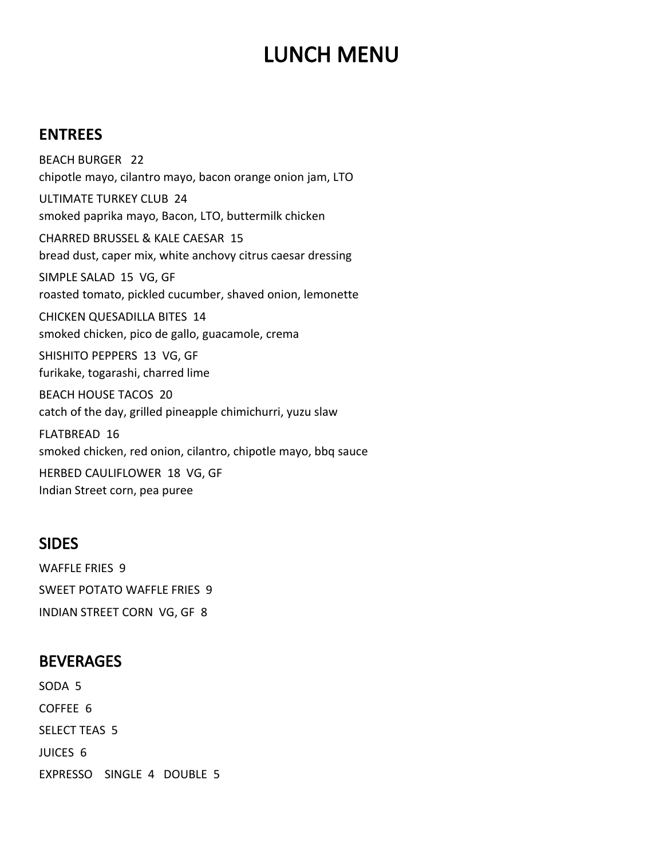# LUNCH MENU

#### **ENTREES**

 BEACH BURGER 22 SIMPLE SALAD 15 VG, GF SHISHITO PEPPERS 13 VG, GF HERBED CAULIFLOWER 18 VG, GF chipotle mayo, cilantro mayo, bacon orange onion jam, LTO ULTIMATE TURKEY CLUB 24 smoked paprika mayo, Bacon, LTO, buttermilk chicken CHARRED BRUSSEL & KALE CAESAR 15 bread dust, caper mix, white anchovy citrus caesar dressing roasted tomato, pickled cucumber, shaved onion, lemonette CHICKEN QUESADILLA BITES 14 smoked chicken, pico de gallo, guacamole, crema furikake, togarashi, charred lime BEACH HOUSE TACOS 20 catch of the day, grilled pineapple chimichurri, yuzu slaw FLATBREAD 16 smoked chicken, red onion, cilantro, chipotle mayo, bbq sauce

Indian Street corn, pea puree

#### SIDES

 INDIAN STREET CORN VG, GF 8 WAFFLE FRIES 9 SWEET POTATO WAFFLE FRIES 9

### **BEVERAGES**

 EXPRESSO SINGLE 4 DOUBLE 5 SODA 5 COFFEE 6 SELECT TEAS 5 JUICES 6